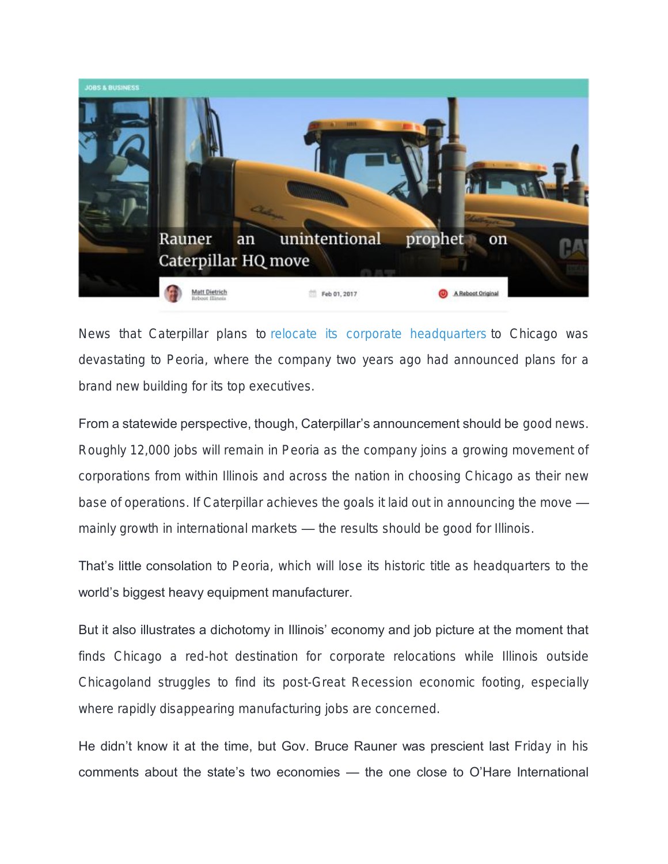

News that Caterpillar plans to [relocate its corporate headquarters](http://www.reuters.com/article/us-caterpillar-headquarters-idUSKBN15F1WQ) to Chicago was devastating to Peoria, where the company two years ago had announced plans for a brand new building for its top executives.

From a statewide perspective, though, Caterpillar's announcement should be good news. Roughly 12,000 jobs will remain in Peoria as the company joins a growing movement of corporations from within Illinois and across the nation in choosing Chicago as their new base of operations. If Caterpillar achieves the goals it laid out in announcing the move mainly growth in international markets — the results should be good for Illinois.

That's little consolation to Peoria, which will lose its historic title as headquarters to the world's biggest heavy equipment manufacturer.

But it also illustrates a dichotomy in Illinois' economy and job picture at the moment that finds Chicago a red-hot destination for corporate relocations while Illinois outside Chicagoland struggles to find its post-Great Recession economic footing, especially where rapidly disappearing manufacturing jobs are concerned.

He didn't know it at the time, but Gov. Bruce Rauner was prescient last Friday in his comments about the state's two economies — the one close to O'Hare International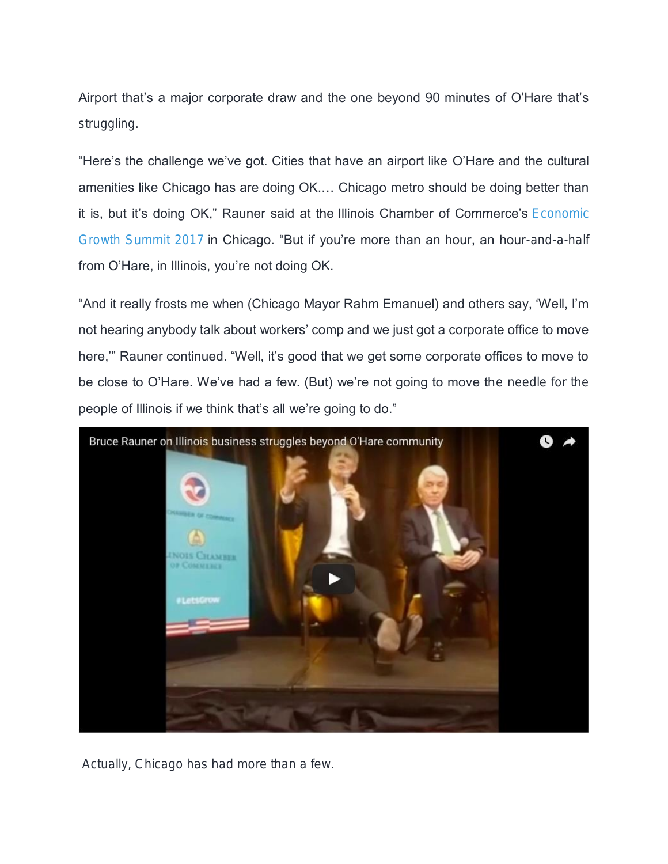Airport that's a major corporate draw and the one beyond 90 minutes of O'Hare that's struggling.

"Here's the challenge we've got. Cities that have an airport like O'Hare and the cultural amenities like Chicago has are doing OK.… Chicago metro should be doing better than it is, but it's doing OK," Rauner said at the Illinois Chamber of Commerce's Economic [Growth Summit 2017](http://ilchamber.org/wp-content/uploads/2014/10/AdvocacyReport_Feb2017_summit.pdf) in Chicago. "But if you're more than an hour, an hour-and-a-half from O'Hare, in Illinois, you're not doing OK.

"And it really frosts me when (Chicago Mayor Rahm Emanuel) and others say, 'Well, I'm not hearing anybody talk about workers' comp and we just got a corporate office to move here,'" Rauner continued. "Well, it's good that we get some corporate offices to move to be close to O'Hare. We've had a few. (But) we're not going to move the needle for the people of Illinois if we think that's all we're going to do."



Actually, Chicago has had more than a few.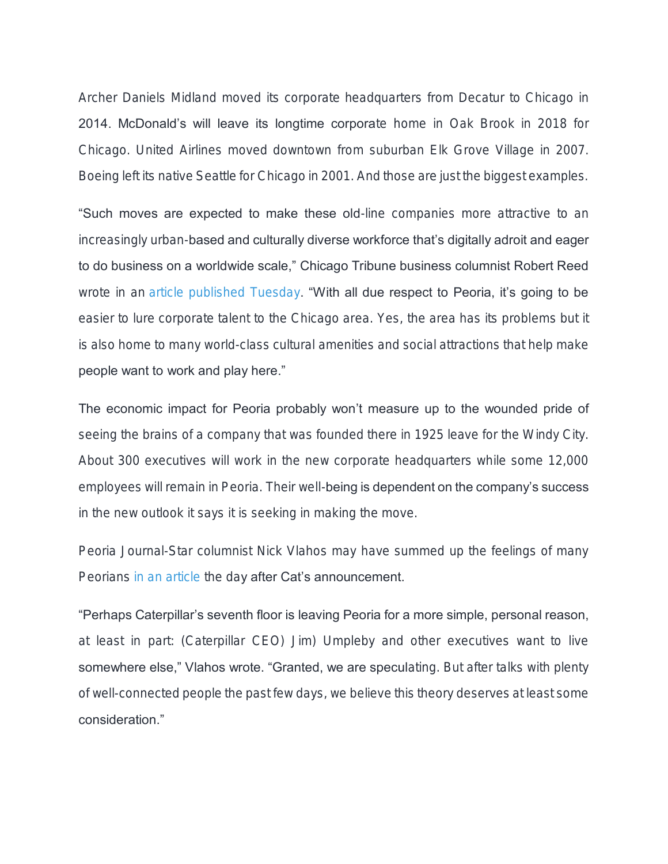Archer Daniels Midland moved its corporate headquarters from Decatur to Chicago in 2014. McDonald's will leave its longtime corporate home in Oak Brook in 2018 for Chicago. United Airlines moved downtown from suburban Elk Grove Village in 2007. Boeing left its native Seattle for Chicago in 2001. And those are just the biggest examples.

"Such moves are expected to make these old-line companies more attractive to an increasingly urban-based and culturally diverse workforce that's digitally adroit and eager to do business on a worldwide scale," Chicago Tribune business columnist Robert Reed wrote in an [article published Tuesday.](http://www.chicagotribune.com/business/columnists/ct-cat-culture-robert-reed-0201-biz-20170131-column.html) "With all due respect to Peoria, it's going to be easier to lure corporate talent to the Chicago area. Yes, the area has its problems but it is also home to many world-class cultural amenities and social attractions that help make people want to work and play here."

The economic impact for Peoria probably won't measure up to the wounded pride of seeing the brains of a company that was founded there in 1925 leave for the Windy City. About 300 executives will work in the new corporate headquarters while some 12,000 employees will remain in Peoria. Their well-being is dependent on the company's success in the new outlook it says it is seeking in making the move.

Peoria Journal-Star columnist Nick Vlahos may have summed up the feelings of many Peorians [in an article](http://www.pjstar.com/news/20170201/nick-in-am-maybe-cat-execs-dont-want-to-live-in-peoria) the day after Cat's announcement.

"Perhaps Caterpillar's seventh floor is leaving Peoria for a more simple, personal reason, at least in part: (Caterpillar CEO) Jim) Umpleby and other executives want to live somewhere else," Vlahos wrote. "Granted, we are speculating. But after talks with plenty of well-connected people the past few days, we believe this theory deserves at least some consideration."